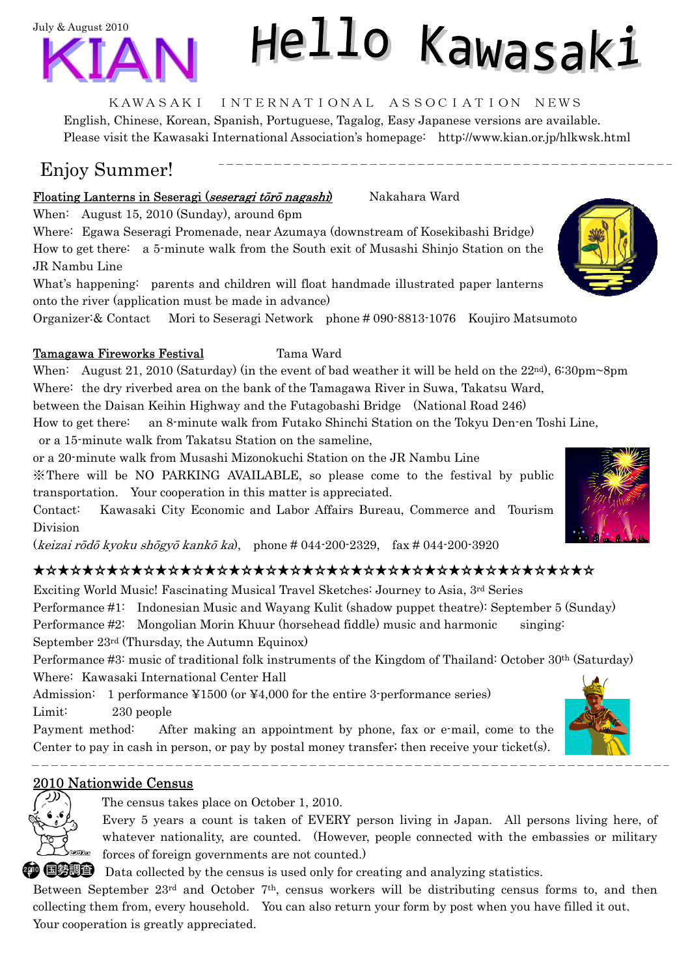

# Hello Kawasaki

#### KAWASAKI INTERNATIONAL ASSOCIATION NEWS

English, Chinese, Korean, Spanish, Portuguese, Tagalog, Easy Japanese versions are available. Please visit the Kawasaki International Association's homepage: http://www.kian.or.jp/hlkwsk.html

## Enjoy Summer!

#### Floating Lanterns in Seseragi (seseragi tōrō nagashi) Nakahara Ward

When: August 15, 2010 (Sunday), around 6pm

Where: Egawa Seseragi Promenade, near Azumaya (downstream of Kosekibashi Bridge) How to get there: a 5-minute walk from the South exit of Musashi Shinjo Station on the JR Nambu Line

What's happening: parents and children will float handmade illustrated paper lanterns onto the river (application must be made in advance)

Organizer:& Contact Mori to Seseragi Network phone # 090-8813-1076 Koujiro Matsumoto

#### Tamagawa Fireworks Festival Tama Ward

When: August 21, 2010 (Saturday) (in the event of bad weather it will be held on the 22<sup>nd</sup>), 6:30pm~8pm Where: the dry riverbed area on the bank of the Tamagawa River in Suwa, Takatsu Ward,

between the Daisan Keihin Highway and the Futagobashi Bridge (National Road 246)

How to get there: an 8-minute walk from Futako Shinchi Station on the Tokyu Den-en Toshi Line,

or a 15-minute walk from Takatsu Station on the sameline,

or a 20-minute walk from Musashi Mizonokuchi Station on the JR Nambu Line

※There will be NO PARKING AVAILABLE, so please come to the festival by public transportation. Your cooperation in this matter is appreciated.

Contact: Kawasaki City Economic and Labor Affairs Bureau, Commerce and Tourism Division

(keizai rōdō kyoku shōgyō kankō ka), phone # 044-200-2329, fax # 044-200-3920

### ★☆★☆★☆★☆★☆★☆★☆★☆★☆★☆★☆★☆★☆★☆★☆★☆★☆★☆★☆★☆★☆★☆★☆

Exciting World Music! Fascinating Musical Travel Sketches: Journey to Asia, 3rd Series Performance #1: Indonesian Music and Wayang Kulit (shadow puppet theatre): September 5 (Sunday) Performance #2: Mongolian Morin Khuur (horsehead fiddle) music and harmonic singing: September 23rd (Thursday, the Autumn Equinox)

Performance #3: music of traditional folk instruments of the Kingdom of Thailand: October 30th (Saturday) Where: Kawasaki International Center Hall

Admission: 1 performance ¥1500 (or ¥4,000 for the entire 3-performance series) Limit: 230 people

Payment method: After making an appointment by phone, fax or e-mail, come to the Center to pay in cash in person, or pay by postal money transfer; then receive your ticket(s).

#### 2010 Nationwide Census

\_ \_ \_ \_ \_ \_ \_ \_ \_



 $\overline{a}$ 

The census takes place on October 1, 2010.

Every 5 years a count is taken of EVERY person living in Japan. All persons living here, of whatever nationality, are counted. (However, people connected with the embassies or military forces of foreign governments are not counted.)

**<sup>20</sup>**  $\bullet$   $\bullet$  **D**ata collected by the census is used only for creating and analyzing statistics.

Between September  $23<sup>rd</sup>$  and October 7<sup>th</sup>, census workers will be distributing census forms to, and then collecting them from, every household. You can also return your form by post when you have filled it out. Your cooperation is greatly appreciated.